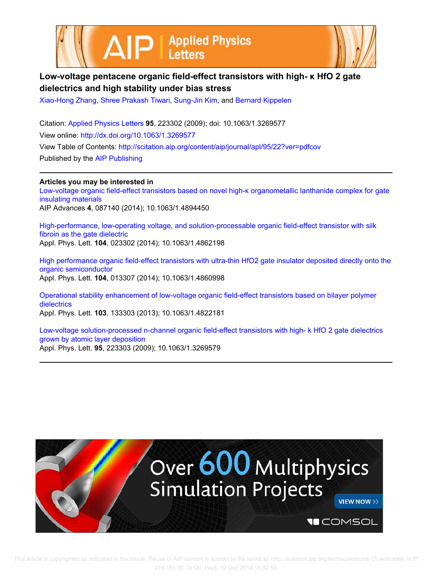



## **Low-voltage pentacene organic field-effect transistors with high- κ HfO 2 gate dielectrics and high stability under bias stress**

Xiao-Hong Zhang, Shree Prakash Tiwari, Sung-Jin Kim, and Bernard Kippelen

Citation: Applied Physics Letters **95**, 223302 (2009); doi: 10.1063/1.3269577 View online: http://dx.doi.org/10.1063/1.3269577 View Table of Contents: http://scitation.aip.org/content/aip/journal/apl/95/22?ver=pdfcov Published by the AIP Publishing

**Articles you may be interested in** Low-voltage organic field-effect transistors based on novel high-κ organometallic lanthanide complex for gate insulating materials AIP Advances **4**, 087140 (2014); 10.1063/1.4894450

High-performance, low-operating voltage, and solution-processable organic field-effect transistor with silk fibroin as the gate dielectric Appl. Phys. Lett. **104**, 023302 (2014); 10.1063/1.4862198

High performance organic field-effect transistors with ultra-thin HfO2 gate insulator deposited directly onto the organic semiconductor Appl. Phys. Lett. **104**, 013307 (2014); 10.1063/1.4860998

Operational stability enhancement of low-voltage organic field-effect transistors based on bilayer polymer dielectrics Appl. Phys. Lett. **103**, 133303 (2013); 10.1063/1.4822181

Low-voltage solution-processed n-channel organic field-effect transistors with high- k HfO 2 gate dielectrics grown by atomic layer deposition Appl. Phys. Lett. **95**, 223303 (2009); 10.1063/1.3269579

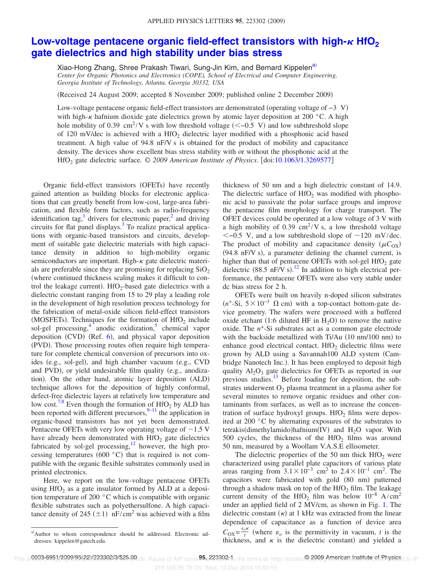## **Low-voltage pentacene organic field-effect transistors with high-** $\kappa$  **HfO**<sup>2</sup> **gate dielectrics and high stability under bias stress**

Xiao-Hong Zhang, Shree Prakash Tiwari, Sung-Jin Kim, and Bernard Kippelen<sup>a)</sup> *Center for Organic Photonics and Electronics (COPE), School of Electrical and Computer Engineering, Georgia Institute of Technology, Atlanta, Georgia 30332, USA*

Received 24 August 2009; accepted 8 November 2009; published online 2 December 2009-

Low-voltage pentacene organic field-effect transistors are demonstrated (operating voltage of  $-3$  V) with high- $\kappa$  hafnium dioxide gate dielectrics grown by atomic layer deposition at 200 °C. A high hole mobility of 0.39 cm<sup>2</sup>/V s with low threshold voltage  $(< -0.5$  V) and low subthreshold slope of 120 mV/dec is achieved with a HfO<sub>2</sub> dielectric layer modified with a phosphonic acid based treatment. A high value of 94.8 nF/V s is obtained for the product of mobility and capacitance density. The devices show excellent bias stress stability with or without the phosphonic acid at the HfO<sub>2</sub> gate dielectric surface. © 2009 American Institute of Physics. [doi:10.1063/1.3269577]

Organic field-effect transistors (OFETs) have recently gained attention as building blocks for electronic applications that can greatly benefit from low-cost, large-area fabrication, and flexible form factors, such as radio-frequency identification tag,<sup>1</sup> drivers for electronic paper,<sup>2</sup> and driving circuits for flat panel displays.<sup>3</sup> To realize practical applications with organic-based transistors and circuits, development of suitable gate dielectric materials with high capacitance density in addition to high-mobility organic semiconductors are important. High- $\kappa$  gate dielectric materials are preferable since they are promising for replacing  $SiO<sub>2</sub>$ where continued thickness scaling makes it difficult to control the leakage current).  $HfO_2$ -based gate dielectrics with a dielectric constant ranging from 15 to 29 play a leading role in the development of high resolution process technology for the fabrication of metal-oxide silicon field-effect transistors (MOSFETs). Techniques for the formation of  $HfO<sub>2</sub>$  include sol-gel processing,<sup>4</sup> anodic oxidization,<sup>5</sup> chemical vapor deposition (CVD) (Ref.  $6$ ), and physical vapor deposition (PVD). Those processing routes often require high temperature for complete chemical conversion of precursors into oxides (e.g., sol-gel), and high chamber vacuum (e.g., CVD and PVD), or yield undesirable film quality (e.g., anodization). On the other hand, atomic layer deposition (ALD) technique allows for the deposition of highly conformal, defect-free dielectric layers at relatively low temperature and low cost.<sup>7,8</sup> Even though the formation of HfO<sub>2</sub> by ALD has been reported with different precursors,  $9-11$  the application in organic-based transistors has not yet been demonstrated. Pentacene OFETs with very low operating voltage of  $-1.5$  V have already been demonstrated with  $HfO<sub>2</sub>$  gate dielectrics fabricated by sol-gel processing, $\frac{12}{2}$  however, the high processing temperatures (600 $\degree$ C) that is required is not compatible with the organic flexible substrates commonly used in printed electronics.

Here, we report on the low-voltage pentacene OFETs using  $HfO<sub>2</sub>$  as a gate insulator formed by ALD at a deposition temperature of 200 °C which is compatible with organic flexible substrates such as polyethersulfone. A high capacitance density of 245 ( $\pm$ 1) nF/cm<sup>2</sup> was achieved with a film

thickness of 50 nm and a high dielectric constant of 14.9. The dielectric surface of  $HfO<sub>2</sub>$  was modified with phosphonic acid to passivate the polar surface groups and improve the pentacene film morphology for charge transport. The OFET devices could be operated at a low voltage of 3 V with a high mobility of  $0.39 \text{ cm}^2$ /V s, a low threshold voltage  $<-0.5$  V, and a low subthreshold slope of  $\sim$ 120 mV/dec. The product of mobility and capacitance density  $(\mu C_{OX})$  $(94.8 \text{ nF/V s})$ , a parameter defining the channel current, is higher than that of pentacene OFETs with sol-gel  $HfO<sub>2</sub>$  gate dielectric (88.5 nF/V s).<sup>12</sup> In addition to high electrical performance, the pentacene OFETs were also very stable under dc bias stress for 2 h.

OFETs were built on heavily n-doped silicon substrates  $(n^+$ -Si,  $5 \times 10^{-3}$  Ω cm) with a top-contact bottom-gate device geometry. The wafers were processed with a buffered oxide etchant (1:6 diluted HF in  $H_2O$ ) to remove the native oxide. The  $n^+$ -Si substrates act as a common gate electrode with the backside metallized with Ti/Au (10 nm/100 nm) to enhance good electrical contact. HfO<sub>2</sub> dielectric films were grown by ALD using a Savannah100 ALD system Cambridge Nanotech Inc.). It has been employed to deposit high quality  $Al_2O_3$  gate dielectrics for OFETs as reported in our previous studies.<sup>13</sup> Before loading for deposition, the substrates underwent  $O_2$  plasma treatment in a plasma asher for several minutes to remove organic residues and other contaminants from surfaces, as well as to increase the concentration of surface hydroxyl groups. HfO<sub>2</sub> films were deposited at 200 °C by alternating exposures of the substrates to tetrakis(dimethylamido)hafnium(IV) and  $H_2O$  vapor. With  $500$  cycles, the thickness of the HfO<sub>2</sub> films was around 50 nm, measured by a Woollam V.A.S.E ellisometer.

The dielectric properties of the 50 nm thick  $HfO<sub>2</sub>$  were characterized using parallel plate capacitors of various plate areas ranging from  $3.1 \times 10^{-3}$  cm<sup>2</sup> to  $2.4 \times 10^{-1}$  cm<sup>2</sup>. The capacitors were fabricated with gold (80 nm) patterned through a shadow mask on top of the  $HfO<sub>2</sub>$  film. The leakage current density of the HfO<sub>2</sub> film was below  $10^{-8}$  A/cm<sup>2</sup> under an applied field of 2 MV/cm, as shown in Fig. 1. The dielectric constant  $(\kappa)$  at 1 kHz was extracted from the linear dependence of capacitance as a function of device area  $C_{\text{OX}} = \frac{\varepsilon_o \kappa}{t}$  $\frac{\partial^{R}}{\partial t}$  (where  $\varepsilon_o$  is the permittivity in vacuum, *t* is the thickness, and  $\kappa$  is the dielectric constant) and yielded a

216.165.95.79 On: Wed, 10 Dec 2014 16:50:55

a) Author to whom correspondence should be addressed. Electronic addresses: kippelen@gatech.edu.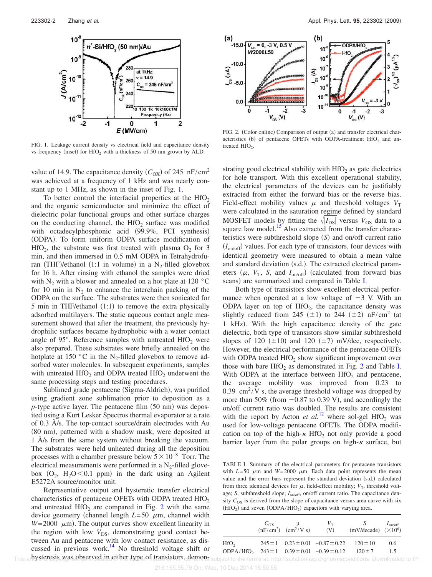

FIG. 1. Leakage current density vs electrical field and capacitance density vs frequency (inset) for  $HfO<sub>2</sub>$  with a thickness of 50 nm grown by ALD.

value of 14.9. The capacitance density  $(C_{OX})$  of 245 nF/cm<sup>2</sup> was achieved at a frequency of 1 kHz and was nearly constant up to 1 MHz, as shown in the inset of Fig. 1.

To better control the interfacial properties at the  $HfO<sub>2</sub>$ and the organic semiconductor and minimize the effect of dielectric polar functional groups and other surface charges on the conducting channel, the  $HfO<sub>2</sub>$  surface was modified with octadecylphosphonic acid (99.9%, PCI synthesis) (ODPA). To form uniform ODPA surface modification of  $HfO<sub>2</sub>$ , the substrate was first treated with plasma  $O<sub>2</sub>$  for 3 min, and then immersed in 0.5 mM ODPA in Tetrahydrofuran (THF)/ethanol (1:1 in volume) in a  $N_2$ -filled glovebox for 16 h. After rinsing with ethanol the samples were dried with N<sub>2</sub> with a blower and annealed on a hot plate at 120  $\degree$ C for 10 min in  $N_2$  to enhance the interchain packing of the ODPA on the surface. The substrates were then sonicated for 5 min in THF/ethanol (1:1) to remove the extra physically adsorbed multilayers. The static aqueous contact angle measurement showed that after the treatment, the previously hydrophilic surfaces became hydrophobic with a water contact angle of 95 $^{\circ}$ . Reference samples with untreated HfO<sub>2</sub> were also prepared. These substrates were briefly annealed on the hotplate at 150  $\degree$ C in the N<sub>2</sub>-filled glovebox to remove adsorbed water molecules. In subsequent experiments, samples with untreated  $\text{HfO}_2$  and ODPA treated  $\text{HfO}_2$  underwent the same processing steps and testing procedures.

Sublimed grade pentacene (Sigma-Aldrich), was purified using gradient zone sublimation prior to deposition as a  $p$ -type active layer. The pentacene film  $(50 \text{ nm})$  was deposited using a Kurt Lesker Spectros thermal evaporator at a rate of 0.3 Å/s. The top-contact source/drain electrodes with Au (80 nm), patterned with a shadow mask, were deposited at 1 Å/s from the same system without breaking the vacuum. The substrates were held unheated during all the deposition processes with a chamber pressure below  $5\times10^{-8}$  Torr. The electrical measurements were performed in a  $N_2$ -filled glovebox  $(O_2, H_2O < 0.1$  ppm) in the dark using an Agilent E5272A source/monitor unit.

Representative output and hysteretic transfer electrical characteristics of pentacene OFETs with ODPA treated  $HfO<sub>2</sub>$ and untreated  $HfO<sub>2</sub>$  are compared in Fig. 2 with the same device geometry (channel length  $L=50 \mu m$ , channel width  $W = 2000 \mu m$ ). The output curves show excellent linearity in the region with low  $V_{DS}$ , demonstrating good contact between Au and pentacene with low contact resistance, as discussed in previous work.<sup>14</sup> No threshold voltage shift or This an NSteresis, Was ebserved in either type of transistors. demons subject the term extra inproduction approximate the material to IP:



FIG. 2. (Color online) Comparison of output (a) and transfer electrical characteristics (b) of pentacene OFETs with ODPA-treatment  $HfO<sub>2</sub>$  and untreated  $HfO<sub>2</sub>$ .

strating good electrical stability with  $HfO<sub>2</sub>$  as gate dielectrics for hole transport. With this excellent operational stability, the electrical parameters of the devices can be justifiably extracted from either the forward bias or the reverse bias. Field-effect mobility values  $\mu$  and threshold voltages  $V_T$ were calculated in the saturation regime defined by standard MOSFET models by fitting the  $\sqrt{|I_{DS}|}$  versus  $V_{GS}$  data to a square law model.<sup>15</sup> Also extracted from the transfer characteristics were subthreshold slope (S) and on/off current ratio  $(I_{on/off})$  values. For each type of transistors, four devices with identical geometry were measured to obtain a mean value and standard deviation (s.d.). The extracted electrical parameters  $(\mu, V_T, S, \text{ and } I_{\text{on/off}})$  (calculated from forward bias scans) are summarized and compared in Table I.

Both type of transistors show excellent electrical performance when operated at a low voltage of  $-3$  V. With an ODPA layer on top of  $HfO<sub>2</sub>$ , the capacitance density was slightly reduced from 245 ( $\pm$ 1) to 244 ( $\pm$ 2) nF/cm<sup>2</sup> (at 1 kHz). With the high capacitance density of the gate dielectric, both type of transistors show similar subthreshold slopes of 120  $(\pm 10)$  and 120  $(\pm 7)$  mV/dec, respectively. However, the electrical performance of the pentacene OFETs with ODPA treated  $HfO<sub>2</sub>$  show significant improvement over those with bare  $HfO<sub>2</sub>$  as demonstrated in Fig. 2 and Table I. With ODPA at the interface between  $HfO<sub>2</sub>$  and pentacene, the average mobility was improved from 0.23 to  $0.39$  cm<sup>2</sup>/V s, the average threshold voltage was dropped by more than  $50\%$  (from  $-0.87$  to 0.39 V), and accordingly the on/off current ratio was doubled. The results are consistent with the report by Acton *et al.*<sup>12</sup> where sol-gel HfO<sub>2</sub> was used for low-voltage pentacene OFETs. The ODPA modification on top of the high- $\kappa$  HfO<sub>2</sub> not only provide a good barrier layer from the polar groups on high- $\kappa$  surface, but

TABLE I. Summary of the electrical parameters for pentacene transistors with  $L=50 \mu m$  and  $W=2000 \mu m$ . Each data point represents the mean value and the error bars represent the standard deviation (s.d.) calculated from three identical devices for  $\mu$ , field-effect mobility;  $V_T$ , threshold voltage; *S*, subthreshold slope;  $I_{on/off}$ , on/off current ratio. The capacitance density  $C_{OX}$  is derived from the slope of capacitance versus area curve with six  $(HfO<sub>2</sub>)$  and seven  $(ODPA/HfO<sub>2</sub>)$  capacitors with varying area.

|                                                                    | $C_{\text{OX}}$ $\qquad \qquad \mu$<br>$(nF/cm^2)$ $(cm^2/V s)$                                                | $V_{\rm T}$<br>(V)                                        | S<br>$(mV/decade)$ $(\times 10^6)$ | $I_{on/off}$  |
|--------------------------------------------------------------------|----------------------------------------------------------------------------------------------------------------|-----------------------------------------------------------|------------------------------------|---------------|
| HfO <sub>2</sub>                                                   |                                                                                                                | $245 \pm 1$ $0.23 \pm 0.01$ $-0.87 \pm 0.22$ $120 \pm 10$ |                                    | $0.6^{\circ}$ |
| ODPA/HfO <sub>2</sub> $243 \pm 1$ $0.39 \pm 0.01$ $-0.39 \pm 0.12$ | and a set of the set of the set of the set of the set of the set of the set of the set of the set of the set o |                                                           | $120 + 7$                          | 15            |